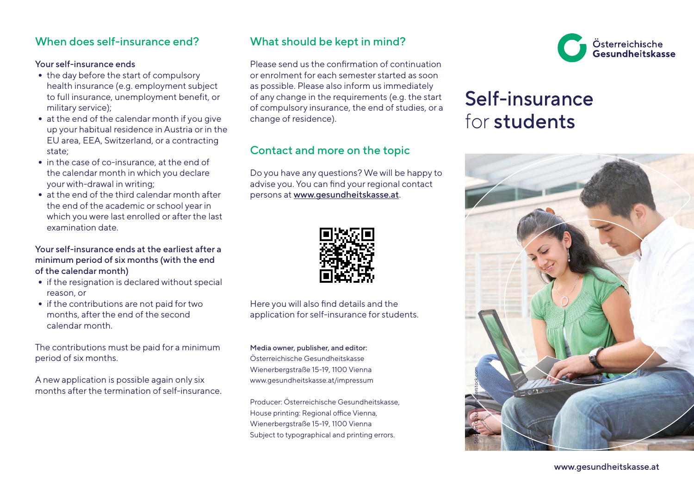### When does self-insurance end?

#### Your self-insurance ends

- **•** the day before the start of compulsory health insurance (e.g. employment subject to full insurance, unemployment benefit, or military service);
- **•** at the end of the calendar month if you give up your habitual residence in Austria or in the EU area, EEA, Switzerland, or a contracting state;
- **•** in the case of co-insurance, at the end of the calendar month in which you declare your with-drawal in writing;
- **•** at the end of the third calendar month after the end of the academic or school year in which you were last enrolled or after the last examination date.

#### Your self-insurance ends at the earliest after a minimum period of six months (with the end of the calendar month)

- **•** if the resignation is declared without special reason, or
- **•** if the contributions are not paid for two months, after the end of the second calendar month.

The contributions must be paid for a minimum period of six months.

A new application is possible again only six months after the termination of self-insurance.

## What should be kept in mind?

Please send us the confirmation of continuation or enrolment for each semester started as soon as possible. Please also inform us immediately of any change in the requirements (e.g. the start of compulsory insurance, the end of studies, or a change of residence).

## Contact and more on the topic

Do you have any questions? We will be happy to advise you. You can find your regional contact persons at [www.gesundheitskasse.at](http://www.gesundheitskasse.at/sv16-ap).



Here you will also find details and the application for self-insurance for students.

Media owner, publisher, and editor: Österreichische Gesundheitskasse Wienerbergstraße 15-19, 1100 Vienna www.gesundheitskasse.at/impressum

Producer: Österreichische Gesundheitskasse, House printing: Regional office Vienna, Wienerbergstraße 15-19, 1100 Vienna Subject to typographical and printing errors.



# Self-insurance for students



[www.gesundheitskasse.at](http://www.gesundheitskasse.at)